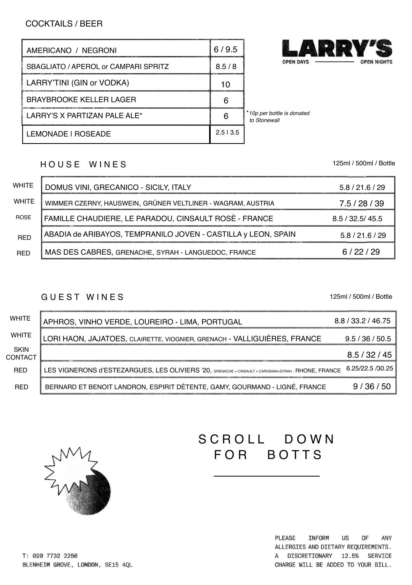# COCKTAILS / BEER

| AMERICANO / NEGRONI                  | 6/9.5   |                                            |
|--------------------------------------|---------|--------------------------------------------|
| SBAGLIATO / APEROL or CAMPARI SPRITZ | 8.5/8   | <b>OPEN DAYS</b>                           |
| LARRY'TINI (GIN or VODKA)            | 10      |                                            |
| <b>BRAYBROOKE KELLER LAGER</b>       | 6       |                                            |
| LARRY'S X PARTIZAN PALE ALE*         | 6       | *10p per bottle is donated<br>to Stonewall |
| LEMONADE I ROSEADE                   | 2.513.5 |                                            |

#### HOUSE WINES

WHITE | DOMUS VINI, GRECANICO - SICILY, ITALY **WHITE** ROSE RED RED WIMMER CZERNY, HAUSWEIN, GRÜNER VELTLINER - WAGRAM, AUSTRIA ABADIA de ARIBAYOS, TEMPRANILO JOVEN - CASTILLA y LEON, SPAIN MAS DES CABRES, GRENACHE, SYRAH - LANGUEDOC, FRANCE 5.8 / 21.6 / 29 7.5 / 28 / 39 5.8 / 21.6 / 29 6 / 22 / 29 FAMILLE CHAUDIERE, LE PARADOU, CINSAULT ROSÈ - FRANCE 8.5 / 32.5/ 45.5

#### G U E S T W I N E S

125ml / 500ml / Bottle

| <b>WHITE</b>           | APHROS, VINHO VERDE, LOUREIRO - LIMA, PORTUGAL                                                      | 8.8 / 33.2 / 46.75 |
|------------------------|-----------------------------------------------------------------------------------------------------|--------------------|
| <b>WHITE</b>           | LORI HAON, JAJATOES, CLAIRETTE, VIOGNIER, GRENACH - VALLIGUIÈRES, FRANCE                            | 9.5 / 36 / 50.5    |
| <b>SKIN</b><br>CONTACT |                                                                                                     | 8.5/32/45          |
| <b>RED</b>             | LES VIGNERONS d'ESTEZARGUES, LES OLIVIERS '20, GRENACHE + CINSAULT + CARIGNAN+SYRAH - RHONE, FRANCE | 6.25/22.5 /30.25   |
| <b>RED</b>             | BERNARD ET BENOIT LANDRON, ESPIRIT DÉTENTE, GAMY, GOURMAND - LIGNÉ, FRANCE                          | 9/36/50            |



# SCROLL DOWN FOR BOTTS

PLEASE INFORM US OF ANY ALLERGIES AND DIETARY REQUIREMENTS. A DISCRETIONARY 12.5% SERVICE CHARGE WILL BE ADDED TO YOUR BILL.

T: 020 7732 2250 BLENHEIM GROVE, LONDON, SE15 4QL 125ml / 500ml / Bottle

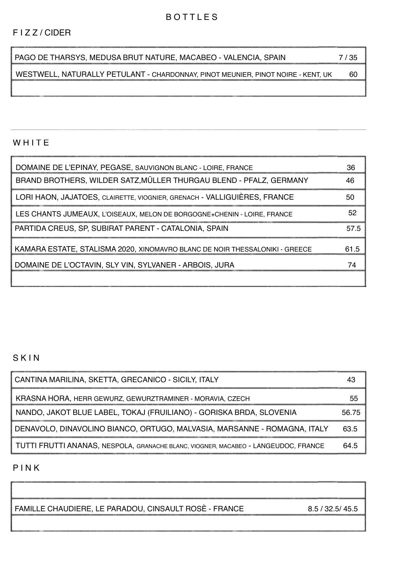### B O T T L E S

#### F I Z Z / CIDER

| I PAGO DE THARSYS. MEDUSA BRUT NATURE. MACABEO - VALENCIA. SPAIN | 7/35 |
|------------------------------------------------------------------|------|
|------------------------------------------------------------------|------|

WESTWELL, NATURALLY PETULANT - CHARDONNAY, PINOT MEUNIER, PINOT NOIRE - KENT, UK 60

## **WHITE**

| DOMAINE DE L'EPINAY, PEGASE, SAUVIGNON BLANC - LOIRE, FRANCE                | 36   |
|-----------------------------------------------------------------------------|------|
| BRAND BROTHERS, WILDER SATZ MÜLLER THURGAU BLEND - PFALZ, GERMANY           | 46   |
| LORI HAON, JAJATOES, CLAIRETTE, VIOGNIER, GRENACH - VALLIGUIÈRES, FRANCE    | 50   |
| LES CHANTS JUMEAUX. L'OISEAUX. MELON DE BORGOGNE+CHENIN - LOIRE. FRANCE     | 52   |
| PARTIDA CREUS, SP, SUBIRAT PARENT - CATALONIA, SPAIN                        | 57.5 |
| KAMARA ESTATE, STALISMA 2020, XINOMAVRO BLANC DE NOIR THESSALONIKI - GREECE | 61.5 |
| DOMAINE DE L'OCTAVIN, SLY VIN, SYLVANER - ARBOIS, JURA                      | 74   |
|                                                                             |      |

### S K I N

| CANTINA MARILINA, SKETTA, GRECANICO - SICILY, ITALY                                |       |
|------------------------------------------------------------------------------------|-------|
| KRASNA HORA, HERR GEWURZ, GEWURZTRAMINER - MORAVIA, CZECH                          | 55    |
| NANDO, JAKOT BLUE LABEL, TOKAJ (FRUILIANO) - GORISKA BRDA, SLOVENIA                | 56.75 |
| DENAVOLO, DINAVOLINO BIANCO, ORTUGO, MALVASIA, MARSANNE - ROMAGNA, ITALY           | 63.5  |
| TUTTI FRUTTI ANANAS, NESPOLA, GRANACHE BLANC, VIOGNER, MACABEO - LANGEUDOC, FRANCE | 64.5  |

#### P I N K

FAMILLE CHAUDIERE, LE PARADOU, CINSAULT ROSÈ - FRANCE 8.5 / 32.5/ 45.5